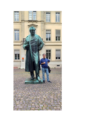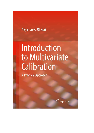# Alejandro C. Olivieri

# Introduction to Multivariate Calibration

**A Practical Approach** 

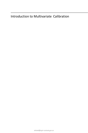Introduction to Multivariate Calibration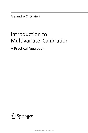Alejandro C. Olivieri

# Introduction to Multivariate Calibration

A Practical Approach



olivieri@iquir-conicet.gov.ar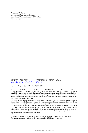Alejandro C. Olivieri Universidad Nacional de Rosario Instituto de Química Rosario - CONICET Rosario, Argentina

#### ISBN 978-3-319-97096-7 ISBN 978-3-319-97097-4 (eBook) https://doi.org/10.1007/978-3-319-97097-4

Library of Congress Control Number: 2018950544

# Springer Nature Switzerland AG 2018 This work is subject to copyright. All rights are reserved by the Publisher, whether the whole or part of the material is concerned, specifically the rights of translation, reprinting, reuse of illustrations, recitation, broadcasting, reproduction on microfilms or in any other physical way, and transmission or information storage and retrieval, electronic adaptation, computer software, or by similar or dissimilar methodology now known or hereafter developed.

The use of general descriptive names, registered names, trademarks, service marks, etc. in this publication does not imply, even in the absence of a specific statement, that such names are exempt from the relevant protective laws and regulations and therefore free for general use.

The publisher, the authors, and the editors are safe to assume that the advice and information in this book are believed to be true and accurate at the date of publication. Neither the publisher nor the authors or the editors give a warranty, express or implied, with respect to the material contained herein or for any errors or omissions that may have been made. The publisher remains neutral with regard to jurisdictional claims in published maps and institutional affiliations.

This Springer imprint is published by the registered company Springer Nature Switzerland AG The registered company address is: Gewerbestrasse 11, 6330 Cham, Switzerland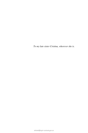*To my late sister Cristina, wherever she is.*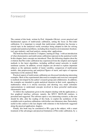### Foreword

The content of this book, written by Prof. Alejandro Olivieri, covers practical and fundamental aspects of multivariate calibration, setting the focus on first-order calibration. It is important to remark that multivariate calibration has become a crucial topic in the analytical world, nowadays being adopted in labs for solving complicated analytical problems, including those found in environmental, biochemical, agro-industry, and food analysis, among other applications.

The book has been divided in 13 chapters, starting in Chap. 1 with an introduction of what chemometrics and multivariate calibration represent in the analytical world. In this chapter, basic concepts are introduced. Then, the following chapters show the evolution that first-order calibration has experienced from the simplest and original methods to the latest algorithms, including artificial neural networks to model nonlinear systems. In addition, several chapters are devoted to explore important subjects as the optimum number of latent variables, comparison of multivariate models, data preprocessing and analytical figures of merit, and topics of supreme importance in the analytical field.

Practical aspects of multivariate calibration are discussed introducing interesting examples. Most of the experimental data used in examples and exercises correspond to methods developed by the author's research group and collaborators. In addition, the examples are intended to guide analytical chemists in their work, appealing to mathematics when it is strictly necessary and showing very smart schematic representations to understand concepts involved in these powerful multivariate chemometric tools.

To follow the explanations given in the chapters dealing with the applications, a free graphical interface software, namely, the MVC1 MATLAB routines, is presented and suggested. The software opens a very interesting scenario, as the user should be able, after the reading of this book, to exploit the usefulness of the available tools to perform calibrations with his/her own laboratory data. Particularly useful in this context is the last chapter with solutions to the homework suggested along the practical application chapters.

Finally, this book may be considered to fill a gap in the subject, with a smart treatment of the advantages and practical limitations of first-order calibration, by a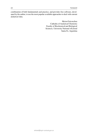combination of both fundamentals and practice, and provides free software, developed by the author, to use the most popular available approaches to deal with current analytical data.

> Héctor Goicoechea Cathedra of Analytical Chemistry Faculty of Biochemical and Biological Sciences, University National of Litoral Santa Fe, Argentina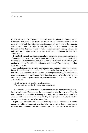## Preface

Multivariate calibration is becoming popular in analytical chemistry. Some branches of industry have used it for years; others are gradually incorporating it as the necessary tools, both theoretical and experimental, are disseminated in the academic and industrial fields. Precisely the objective of this book is to contribute to the diffusion of the discipline while providing complementary reading material for undergraduate or postgraduate courses on multivariate calibration in chemistryrelated careers.

Every book on multivariate calibration faces a dilemma. Should deep mathematical concepts be employed, as those required for the development of the main tools of the discipline, or should the mathematics be kept at a minimum, describing only in a qualitative manner the different calibration techniques? The following anecdote illustrates the issue.

A journalist once interviewed a physics professor, enquiring about the relativity theory. The professor tried to explain the fundamentals of the theory, using uncommon terms such as *geodesics* and *tensors*. Thus the journalist begged for the use of more understandable terms. The professor then told a story of cowboys firing guns on a moving train and spoke about the speed of the bullets in relation to the train and to the platform.

– Good! –exclaimed the journalist– now I understand.

– Yes, but this is not the relativity theory –said the professor.

The same issue is apparent here: how much mathematics and how much qualitative text to include. Exaggerating the mathematics carries the risk of making the book difficult to understand. Reducing it to zero, on the other hand, leads to a symmetrical loss in the chemometrics. Finding the right balance in a book like this one may be a lost cause, but it is worth trying.

Regarding a chemometrics book introducing complex concepts in a simple manner, an editorial comment used the following words in Latin: *veluti pueris absinthia taetra medentes cum dare conantur, prius oras pocula circum adspirant*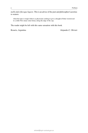*mellis dulci flavoque liquore*. This is an advice of the poet and philosopher Lucretius to orators:

when the topic is tough, behave as physicians seeking to give a draught of bitter wormwood to a child: first smear some honey along the edge of the cup.

The reader might be left with this same sensation with this book.

Rosario, Argentina Alejandro C. Olivieri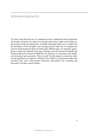## Acknowledgments

To write a book like this one, it is important to have collaborated with Argentinean and foreign scientists over almost two decades and to have taught on the subject in universities and private laboratories. Scientific knowledge helps one to comply with the formalities of the discipline, and teaching practice leads one to recognize the need for printed material about an intrinsically difficult topic. It is therefore appropriate to thank the National University of Rosario and the National Scientific and Technical Research Council (CONICET) for allowing us to develop in the double role of teachers and researchers. That is not all. For this project to come true, other crucial ingredients are required: a brother-in-law (Raul), an experienced editor and excellent critic, and a wife-scientist (Graciela) with patience for consulting and discussion. For them, special thanks.